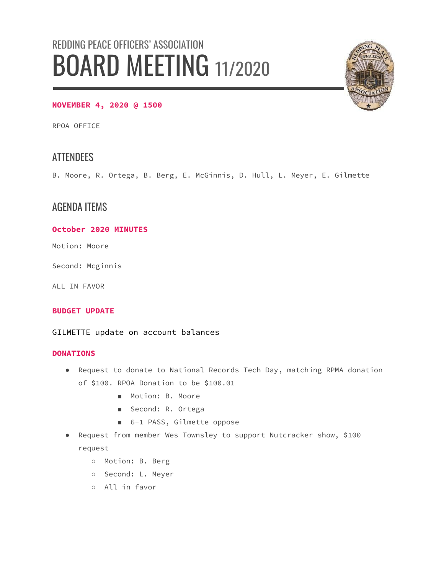# REDDING PEACE OFFICERS' ASSOCIATION BOARD MEETING 11/2020



#### **NOVEMBER 4, 2020 @ 1500**

RPOA OFFICE

# **ATTENDEES**

B. Moore, R. Ortega, B. Berg, E. McGinnis, D. Hull, L. Meyer, E. Gilmette

## AGENDA ITEMS

#### **October 2020 MINUTES**

Motion: Moore

Second: Mcginnis

ALL IN FAVOR

#### **BUDGET UPDATE**

GILMETTE update on account balances

#### **DONATIONS**

- Request to donate to National Records Tech Day, matching RPMA donation of \$100. RPOA Donation to be \$100.01
	- Motion: B. Moore
	- Second: R. Ortega
	- 6-1 PASS, Gilmette oppose
- Request from member Wes Townsley to support Nutcracker show, \$100 request
	- Motion: B. Berg
	- Second: L. Meyer
	- All in favor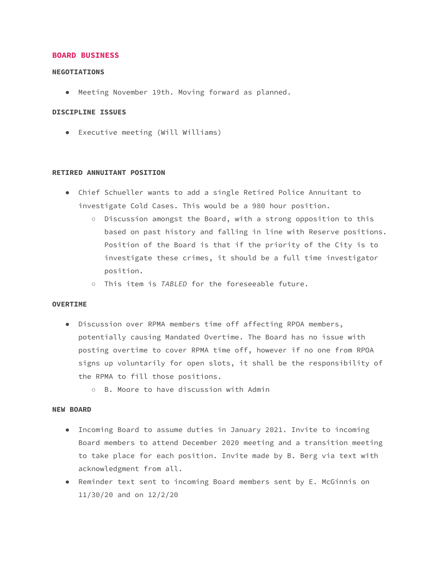#### **BOARD BUSINESS**

#### **NEGOTIATIONS**

● Meeting November 19th. Moving forward as planned.

#### **DISCIPLINE ISSUES**

● Executive meeting (Will Williams)

#### **RETIRED ANNUITANT POSITION**

- Chief Schueller wants to add a single Retired Police Annuitant to investigate Cold Cases. This would be a 980 hour position.
	- Discussion amongst the Board, with a strong opposition to this based on past history and falling in line with Reserve positions. Position of the Board is that if the priority of the City is to investigate these crimes, it should be a full time investigator position.
	- This item is *TABLED* for the foreseeable future.

#### **OVERTIME**

- Discussion over RPMA members time off affecting RPOA members, potentially causing Mandated Overtime. The Board has no issue with posting overtime to cover RPMA time off, however if no one from RPOA signs up voluntarily for open slots, it shall be the responsibility of the RPMA to fill those positions.
	- B. Moore to have discussion with Admin

#### **NEW BOARD**

- Incoming Board to assume duties in January 2021. Invite to incoming Board members to attend December 2020 meeting and a transition meeting to take place for each position. Invite made by B. Berg via text with acknowledgment from all.
- Reminder text sent to incoming Board members sent by E. McGinnis on 11/30/20 and on 12/2/20